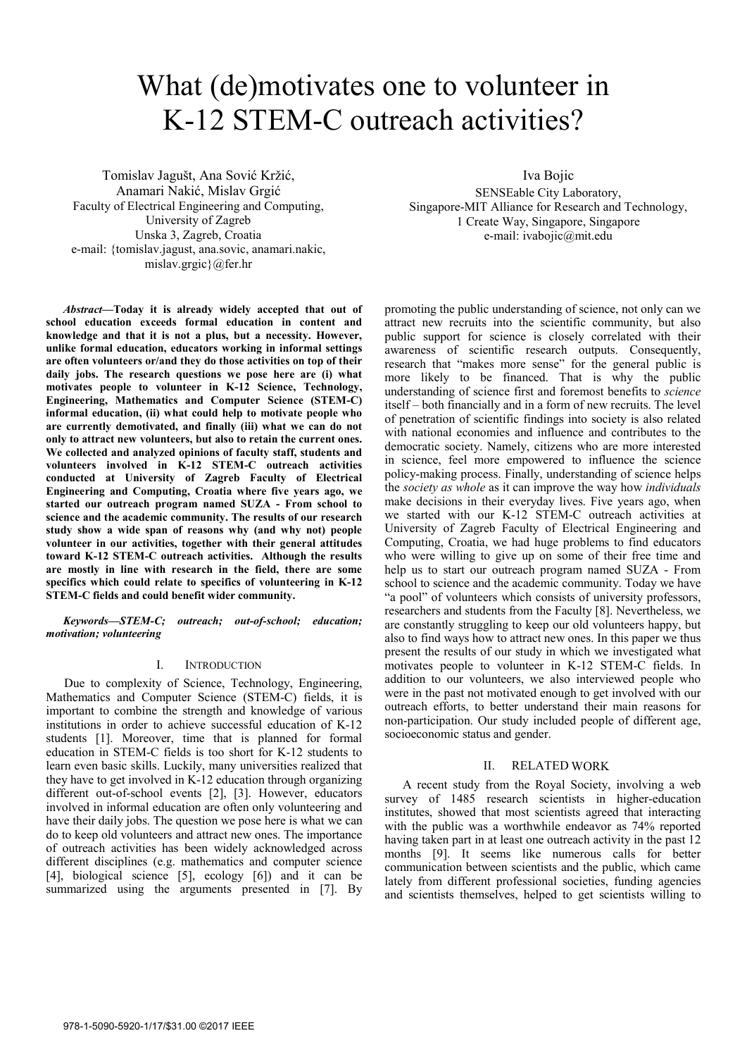# What (de)motivates one to volunteer in K-12 STEM-C outreach activities?

Tomislav Jagušt, Ana Sović Kržić, Anamari Nakić, Mislav Grgić Faculty of Electrical Engineering and Computing, University of Zagreb Unska 3, Zagreb, Croatia e-mail: {tomislav.jagust, ana.sovic, anamari.nakic, mislav.grgic}@fer.hr

*Abstract***—Today it is already widely accepted that out of school education exceeds formal education in content and knowledge and that it is not a plus, but a necessity. However, unlike formal education, educators working in informal settings are often volunteers or/and they do those activities on top of their daily jobs. The research questions we pose here are (i) what motivates people to volunteer in K-12 Science, Technology, Engineering, Mathematics and Computer Science (STEM-C) informal education, (ii) what could help to motivate people who are currently demotivated, and finally (iii) what we can do not only to attract new volunteers, but also to retain the current ones. We collected and analyzed opinions of faculty staff, students and volunteers involved in K-12 STEM-C outreach activities conducted at University of Zagreb Faculty of Electrical Engineering and Computing, Croatia where five years ago, we started our outreach program named SUZA - From school to science and the academic community. The results of our research study show a wide span of reasons why (and why not) people volunteer in our activities, together with their general attitudes toward K-12 STEM-C outreach activities. Although the results are mostly in line with research in the field, there are some specifics which could relate to specifics of volunteering in K-12 STEM-C fields and could benefit wider community.** 

*Keywords—STEM-C; outreach; out-of-school; education; motivation; volunteering* 

## I. INTRODUCTION

Due to complexity of Science, Technology, Engineering, Mathematics and Computer Science (STEM-C) fields, it is important to combine the strength and knowledge of various institutions in order to achieve successful education of K-12 students [1]. Moreover, time that is planned for formal education in STEM-C fields is too short for K-12 students to learn even basic skills. Luckily, many universities realized that they have to get involved in K-12 education through organizing different out-of-school events [2], [3]. However, educators involved in informal education are often only volunteering and have their daily jobs. The question we pose here is what we can do to keep old volunteers and attract new ones. The importance of outreach activities has been widely acknowledged across different disciplines (e.g. mathematics and computer science [4], biological science [5], ecology [6]) and it can be summarized using the arguments presented in [7]. By Iva Bojic

SENSEable City Laboratory, Singapore-MIT Alliance for Research and Technology, 1 Create Way, Singapore, Singapore e-mail: ivabojic@mit.edu

promoting the public understanding of science, not only can we attract new recruits into the scientific community, but also public support for science is closely correlated with their awareness of scientific research outputs. Consequently, research that "makes more sense" for the general public is more likely to be financed. That is why the public understanding of science first and foremost benefits to *science*  itself – both financially and in a form of new recruits. The level of penetration of scientific findings into society is also related with national economies and influence and contributes to the democratic society. Namely, citizens who are more interested in science, feel more empowered to influence the science policy-making process. Finally, understanding of science helps the *society as whole* as it can improve the way how *individuals*  make decisions in their everyday lives. Five years ago, when we started with our K-12 STEM-C outreach activities at University of Zagreb Faculty of Electrical Engineering and Computing, Croatia, we had huge problems to find educators who were willing to give up on some of their free time and help us to start our outreach program named SUZA - From school to science and the academic community. Today we have "a pool" of volunteers which consists of university professors, researchers and students from the Faculty [8]. Nevertheless, we are constantly struggling to keep our old volunteers happy, but also to find ways how to attract new ones. In this paper we thus present the results of our study in which we investigated what motivates people to volunteer in K-12 STEM-C fields. In addition to our volunteers, we also interviewed people who were in the past not motivated enough to get involved with our outreach efforts, to better understand their main reasons for non-participation. Our study included people of different age, socioeconomic status and gender.

## II. RELATED WORK

A recent study from the Royal Society, involving a web survey of 1485 research scientists in higher-education institutes, showed that most scientists agreed that interacting with the public was a worthwhile endeavor as 74% reported having taken part in at least one outreach activity in the past 12 months [9]. It seems like numerous calls for better communication between scientists and the public, which came lately from different professional societies, funding agencies and scientists themselves, helped to get scientists willing to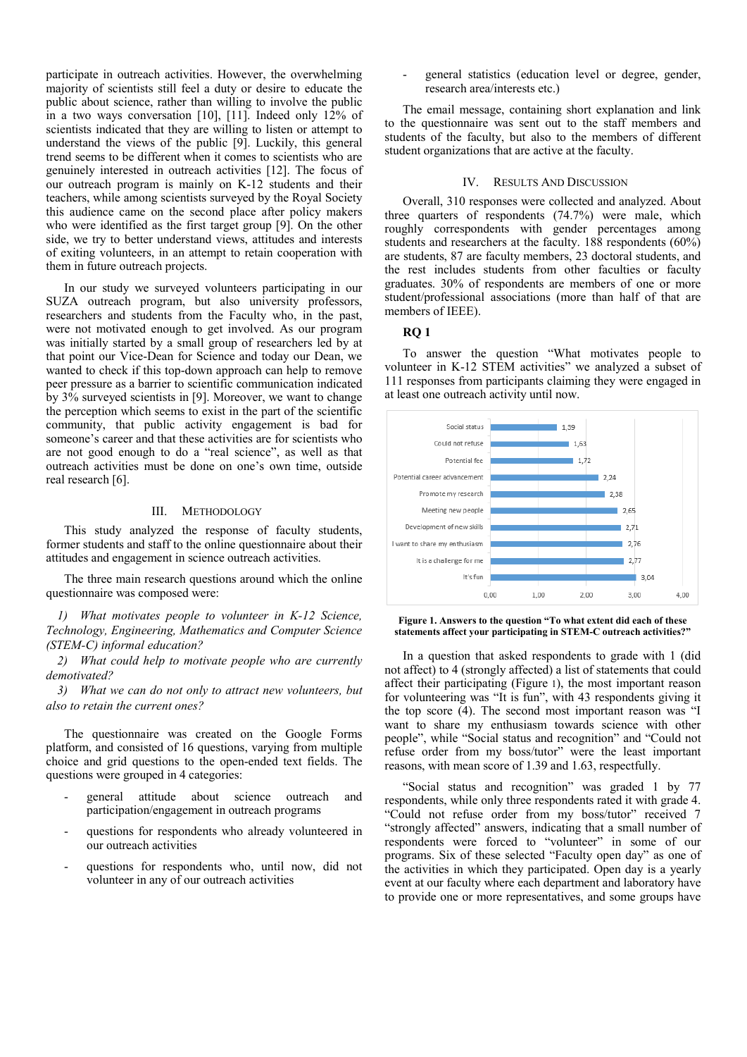participate in outreach activities. However, the overwhelming majority of scientists still feel a duty or desire to educate the public about science, rather than willing to involve the public in a two ways conversation [10], [11]. Indeed only 12% of scientists indicated that they are willing to listen or attempt to understand the views of the public [9]. Luckily, this general trend seems to be different when it comes to scientists who are genuinely interested in outreach activities [12]. The focus of our outreach program is mainly on K-12 students and their teachers, while among scientists surveyed by the Royal Society this audience came on the second place after policy makers who were identified as the first target group [9]. On the other side, we try to better understand views, attitudes and interests of exiting volunteers, in an attempt to retain cooperation with them in future outreach projects.

In our study we surveyed volunteers participating in our SUZA outreach program, but also university professors, researchers and students from the Faculty who, in the past, were not motivated enough to get involved. As our program was initially started by a small group of researchers led by at that point our Vice-Dean for Science and today our Dean, we wanted to check if this top-down approach can help to remove peer pressure as a barrier to scientific communication indicated by 3% surveyed scientists in [9]. Moreover, we want to change the perception which seems to exist in the part of the scientific community, that public activity engagement is bad for someone's career and that these activities are for scientists who are not good enough to do a "real science", as well as that outreach activities must be done on one's own time, outside real research [6].

### III. METHODOLOGY

This study analyzed the response of faculty students, former students and staff to the online questionnaire about their attitudes and engagement in science outreach activities.

The three main research questions around which the online questionnaire was composed were:

*1) What motivates people to volunteer in K-12 Science, Technology, Engineering, Mathematics and Computer Science (STEM-C) informal education?* 

*2) What could help to motivate people who are currently demotivated?* 

*3) What we can do not only to attract new volunteers, but also to retain the current ones?* 

The questionnaire was created on the Google Forms platform, and consisted of 16 questions, varying from multiple choice and grid questions to the open-ended text fields. The questions were grouped in 4 categories:

- general attitude about science outreach and participation/engagement in outreach programs
- questions for respondents who already volunteered in our outreach activities
- questions for respondents who, until now, did not volunteer in any of our outreach activities

general statistics (education level or degree, gender, research area/interests etc.)

The email message, containing short explanation and link to the questionnaire was sent out to the staff members and students of the faculty, but also to the members of different student organizations that are active at the faculty.

#### IV. RESULTS AND DISCUSSION

Overall, 310 responses were collected and analyzed. About three quarters of respondents (74.7%) were male, which roughly correspondents with gender percentages among students and researchers at the faculty. 188 respondents (60%) are students, 87 are faculty members, 23 doctoral students, and the rest includes students from other faculties or faculty graduates. 30% of respondents are members of one or more student/professional associations (more than half of that are members of IEEE).

## **RQ 1**

To answer the question "What motivates people to volunteer in K-12 STEM activities" we analyzed a subset of 111 responses from participants claiming they were engaged in at least one outreach activity until now.



**Figure 1. Answers to the question "To what extent did each of these statements affect your participating in STEM-C outreach activities?"** 

In a question that asked respondents to grade with 1 (did not affect) to 4 (strongly affected) a list of statements that could affect their participating (Figure 1), the most important reason for volunteering was "It is fun", with 43 respondents giving it the top score (4). The second most important reason was "I want to share my enthusiasm towards science with other people", while "Social status and recognition" and "Could not refuse order from my boss/tutor" were the least important reasons, with mean score of 1.39 and 1.63, respectfully.

"Social status and recognition" was graded 1 by 77 respondents, while only three respondents rated it with grade 4. "Could not refuse order from my boss/tutor" received 7 "strongly affected" answers, indicating that a small number of respondents were forced to "volunteer" in some of our programs. Six of these selected "Faculty open day" as one of the activities in which they participated. Open day is a yearly event at our faculty where each department and laboratory have to provide one or more representatives, and some groups have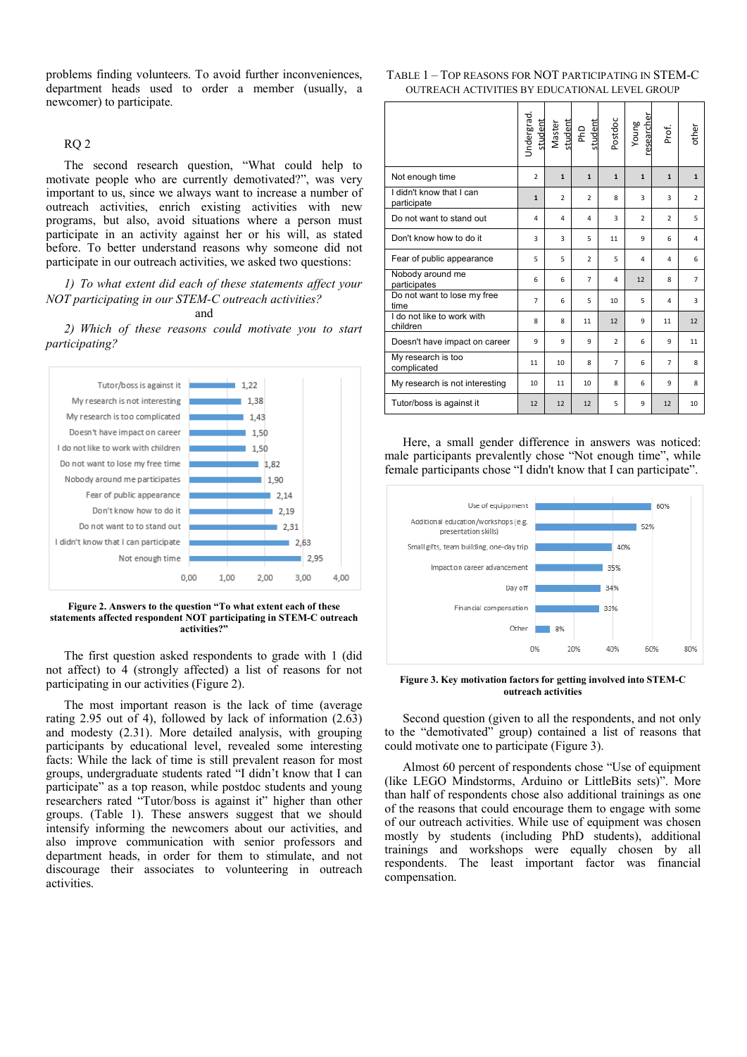problems finding volunteers. To avoid further inconveniences, department heads used to order a member (usually, a newcomer) to participate.

# RQ 2

The second research question, "What could help to motivate people who are currently demotivated?", was very important to us, since we always want to increase a number of outreach activities, enrich existing activities with new programs, but also, avoid situations where a person must participate in an activity against her or his will, as stated before. To better understand reasons why someone did not participate in our outreach activities, we asked two questions:

# *1) To what extent did each of these statements affect your NOT participating in our STEM-C outreach activities?*

# and

*2) Which of these reasons could motivate you to start participating?* 



**Figure 2. Answers to the question "To what extent each of these statements affected respondent NOT participating in STEM-C outreach activities?"** 

The first question asked respondents to grade with 1 (did not affect) to 4 (strongly affected) a list of reasons for not participating in our activities (Figure 2).

The most important reason is the lack of time (average rating 2.95 out of 4), followed by lack of information (2.63) and modesty (2.31). More detailed analysis, with grouping participants by educational level, revealed some interesting facts: While the lack of time is still prevalent reason for most groups, undergraduate students rated "I didn't know that I can participate" as a top reason, while postdoc students and young researchers rated "Tutor/boss is against it" higher than other groups. (Table 1). These answers suggest that we should intensify informing the newcomers about our activities, and also improve communication with senior professors and department heads, in order for them to stimulate, and not discourage their associates to volunteering in outreach activities.

# TABLE 1 – TOP REASONS FOR NOT PARTICIPATING IN STEM-C OUTREACH ACTIVITIES BY EDUCATIONAL LEVEL GROUP

|                                         |                | Undergrad.<br>student<br>Master<br>student | student<br>$\frac{\Omega}{\Delta}$ | Postdoc        | esearcher<br>Young | Prof.          | other          |
|-----------------------------------------|----------------|--------------------------------------------|------------------------------------|----------------|--------------------|----------------|----------------|
| Not enough time                         | $\overline{2}$ | $\mathbf{1}$                               | $\mathbf{1}$                       | $\mathbf{1}$   | $\mathbf{1}$       | $\mathbf{1}$   | $\mathbf{1}$   |
| I didn't know that I can<br>participate | $\mathbf{1}$   | $\overline{2}$                             | $\overline{2}$                     | 8              | 3                  | 3              | $\overline{2}$ |
| Do not want to stand out                | 4              | 4                                          | 4                                  | 3              | $\overline{2}$     | $\overline{2}$ | 5              |
| Don't know how to do it                 | $\overline{3}$ | 3                                          | 5                                  | 11             | 9                  | 6              | $\overline{4}$ |
| Fear of public appearance               | 5              | 5                                          | $\overline{2}$                     | 5              | 4                  | 4              | 6              |
| Nobody around me<br>participates        | 6              | 6                                          | $\overline{7}$                     | 4              | 12                 | 8              | $\overline{7}$ |
| Do not want to lose my free<br>time     | $\overline{7}$ | 6                                          | 5                                  | 10             | 5                  | 4              | 3              |
| I do not like to work with<br>children  | 8              | 8                                          | 11                                 | 12             | 9                  | 11             | 12             |
| Doesn't have impact on career           | 9              | 9                                          | 9                                  | $\overline{2}$ | 6                  | 9              | 11             |
| My research is too<br>complicated       | 11             | 10                                         | 8                                  | $\overline{7}$ | 6                  | 7              | 8              |
| My research is not interesting          | 10             | 11                                         | 10                                 | 8              | 6                  | 9              | 8              |
| Tutor/boss is against it                | 12             | 12                                         | 12                                 | 5              | 9                  | 12             | 10             |

Here, a small gender difference in answers was noticed: male participants prevalently chose "Not enough time", while female participants chose "I didn't know that I can participate".



**Figure 3. Key motivation factors for getting involved into STEM-C outreach activities** 

Second question (given to all the respondents, and not only to the "demotivated" group) contained a list of reasons that could motivate one to participate (Figure 3).

Almost 60 percent of respondents chose "Use of equipment (like LEGO Mindstorms, Arduino or LittleBits sets)". More than half of respondents chose also additional trainings as one of the reasons that could encourage them to engage with some of our outreach activities. While use of equipment was chosen mostly by students (including PhD students), additional trainings and workshops were equally chosen by all respondents. The least important factor was financial compensation.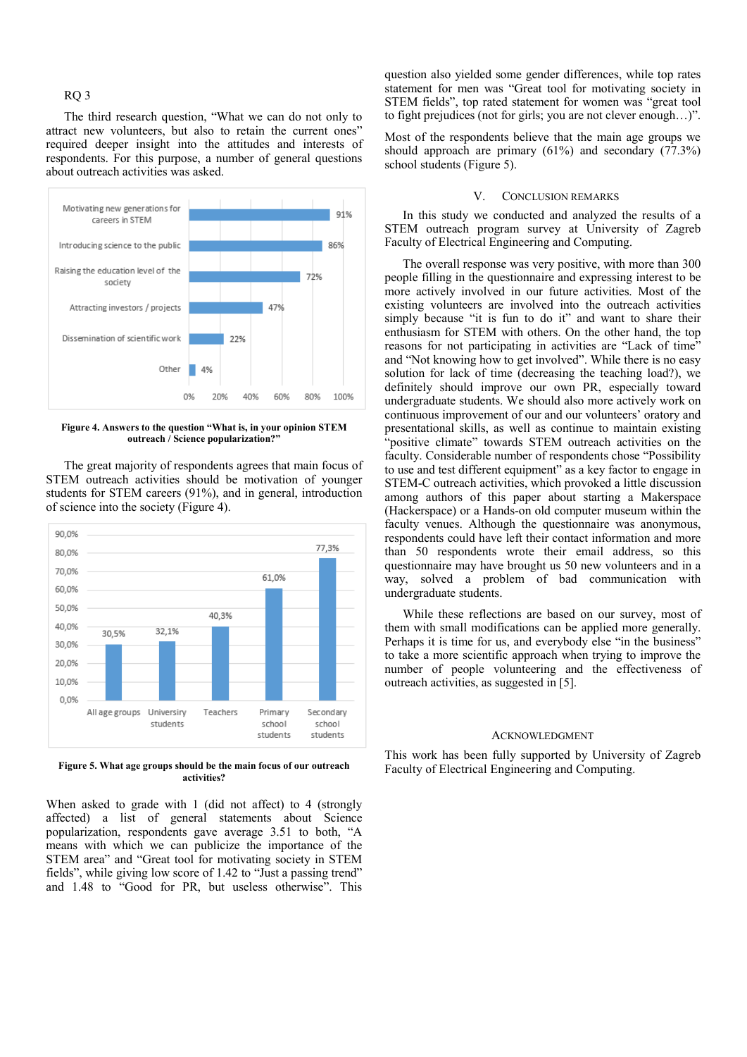# RQ 3

The third research question, "What we can do not only to attract new volunteers, but also to retain the current ones" required deeper insight into the attitudes and interests of respondents. For this purpose, a number of general questions about outreach activities was asked.



**Figure 4. Answers to the question "What is, in your opinion STEM outreach / Science popularization?"** 

The great majority of respondents agrees that main focus of STEM outreach activities should be motivation of younger students for STEM careers (91%), and in general, introduction of science into the society (Figure 4).



**Figure 5. What age groups should be the main focus of our outreach activities?** 

When asked to grade with 1 (did not affect) to 4 (strongly affected) a list of general statements about Science popularization, respondents gave average 3.51 to both, "A means with which we can publicize the importance of the STEM area" and "Great tool for motivating society in STEM fields", while giving low score of 1.42 to "Just a passing trend" and 1.48 to "Good for PR, but useless otherwise". This

question also yielded some gender differences, while top rates statement for men was "Great tool for motivating society in STEM fields", top rated statement for women was "great tool to fight prejudices (not for girls; you are not clever enough…)".

Most of the respondents believe that the main age groups we should approach are primary (61%) and secondary (77.3%) school students (Figure 5).

## V. CONCLUSION REMARKS

In this study we conducted and analyzed the results of a STEM outreach program survey at University of Zagreb Faculty of Electrical Engineering and Computing.

The overall response was very positive, with more than 300 people filling in the questionnaire and expressing interest to be more actively involved in our future activities. Most of the existing volunteers are involved into the outreach activities simply because "it is fun to do it" and want to share their enthusiasm for STEM with others. On the other hand, the top reasons for not participating in activities are "Lack of time" and "Not knowing how to get involved". While there is no easy solution for lack of time (decreasing the teaching load?), we definitely should improve our own PR, especially toward undergraduate students. We should also more actively work on continuous improvement of our and our volunteers' oratory and presentational skills, as well as continue to maintain existing "positive climate" towards STEM outreach activities on the faculty. Considerable number of respondents chose "Possibility to use and test different equipment" as a key factor to engage in STEM-C outreach activities, which provoked a little discussion among authors of this paper about starting a Makerspace (Hackerspace) or a Hands-on old computer museum within the faculty venues. Although the questionnaire was anonymous, respondents could have left their contact information and more than 50 respondents wrote their email address, so this questionnaire may have brought us 50 new volunteers and in a way, solved a problem of bad communication with undergraduate students.

While these reflections are based on our survey, most of them with small modifications can be applied more generally. Perhaps it is time for us, and everybody else "in the business" to take a more scientific approach when trying to improve the number of people volunteering and the effectiveness of outreach activities, as suggested in [5].

## ACKNOWLEDGMENT

This work has been fully supported by University of Zagreb Faculty of Electrical Engineering and Computing.